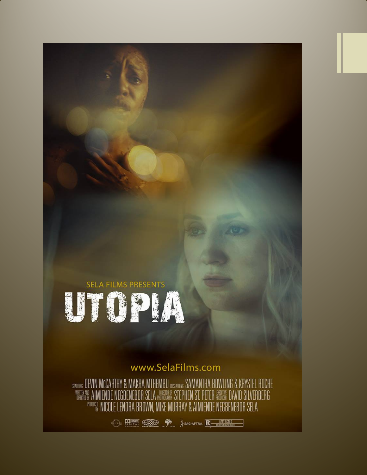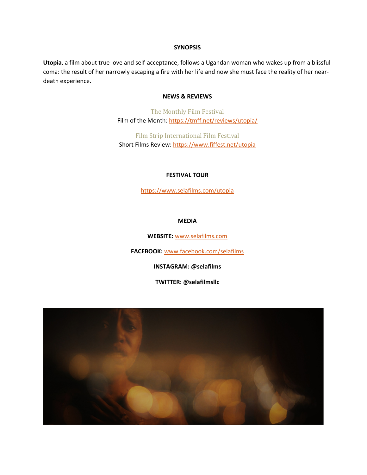#### **SYNOPSIS**

**Utopia**, a film about true love and self-acceptance, follows a Ugandan woman who wakes up from a blissful coma: the result of her narrowly escaping a fire with her life and now she must face the reality of her neardeath experience.

## **NEWS & REVIEWS**

The Monthly Film Festival Film of the Month:<https://tmff.net/reviews/utopia/>

Film Strip International Film Festival Short Films Review:<https://www.fiffest.net/utopia>

#### **FESTIVAL TOUR**

<https://www.selafilms.com/utopia>

## **MEDIA**

**WEBSITE:** [www.selafilms.com](http://www.selafilms.com/)

**FACEBOOK:** [www.facebook.com/selafilms](http://www.facebook.com/selafilms)

**INSTAGRAM: @selafilms**

**TWITTER: @selafilmsllc**

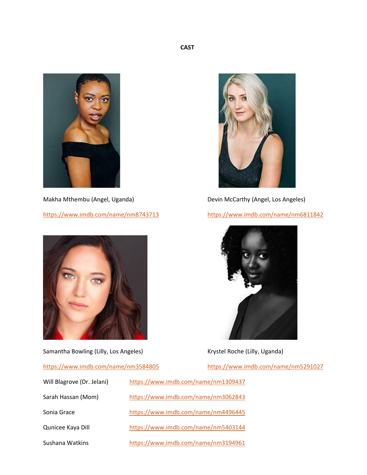

<https://www.imdb.com/name/nm8743713> <https://www.imdb.com/name/nm6811842>



Samantha Bowling (Lilly, Los Angeles) Manus (Research Roche (Lilly, Uganda)

## <https://www.imdb.com/name/nm3584805> <https://www.imdb.com/name/nm5291027>



Makha Mthembu (Angel, Uganda) Devin McCarthy (Angel, Los Angeles)



- Will Blagrove (Dr. Jelani) <https://www.imdb.com/name/nm1309437>
- 
- 
- 

Sarah Hassan (Mom) <https://www.imdb.com/name/nm3062843>

Sonia Grace <https://www.imdb.com/name/nm4496445>

Qunicee Kaya Dill <https://www.imdb.com/name/nm5403144>

Sushana Watkins <https://www.imdb.com/name/nm3194961>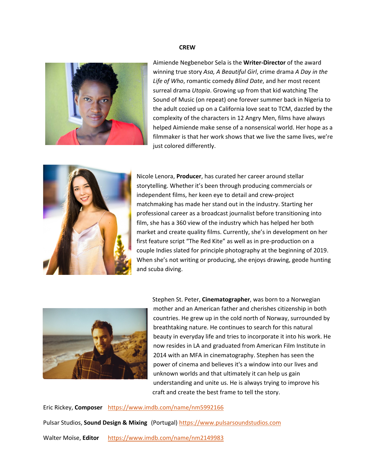#### **CREW**



Aimiende Negbenebor Sela is the **Writer-Director** of the award winning true story *Asa, A Beautiful Girl*, crime drama *A Day in the Life of Who*, romantic comedy *Blind Date*, and her most recent surreal drama *Utopia*. Growing up from that kid watching The Sound of Music (on repeat) one forever summer back in Nigeria to the adult cozied up on a California love seat to TCM, dazzled by the complexity of the characters in 12 Angry Men, films have always helped Aimiende make sense of a nonsensical world. Her hope as a filmmaker is that her work shows that we live the same lives, we're just colored differently.



Nicole Lenora, **Producer**, has curated her career around stellar storytelling. Whether it's been through producing commercials or independent films, her keen eye to detail and crew-project matchmaking has made her stand out in the industry. Starting her professional career as a broadcast journalist before transitioning into film, she has a 360 view of the industry which has helped her both market and create quality films. Currently, she's in development on her first feature script "The Red Kite" as well as in pre-production on a couple Indies slated for principle photography at the beginning of 2019. When she's not writing or producing, she enjoys drawing, geode hunting and scuba diving.



Stephen St. Peter, **Cinematographer**, was born to a Norwegian mother and an American father and cherishes citizenship in both countries. He grew up in the cold north of Norway, surrounded by breathtaking nature. He continues to search for this natural beauty in everyday life and tries to incorporate it into his work. He now resides in LA and graduated from American Film Institute in 2014 with an MFA in cinematography. Stephen has seen the power of cinema and believes it's a window into our lives and unknown worlds and that ultimately it can help us gain understanding and unite us. He is always trying to improve his craft and create the best frame to tell the story.

Eric Rickey, **Composer** <https://www.imdb.com/name/nm5992166>

Pulsar Studios, **Sound Design & Mixing** (Portugal) [https://www.pulsarsoundstudios.com](https://www.pulsarsoundstudios.com/)

Walter Moïse, **Editor** <https://www.imdb.com/name/nm2149983>